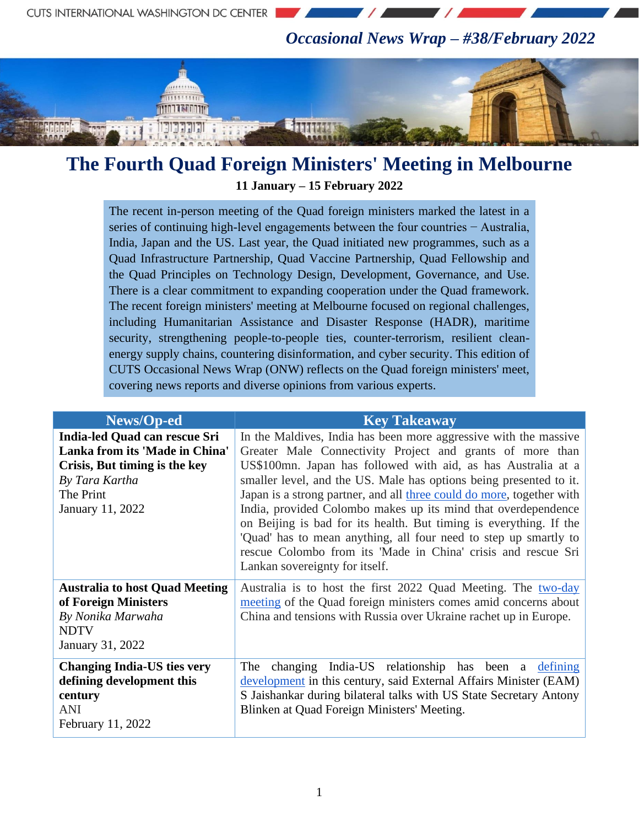*Occasional News Wrap – #38/February 2022*



## **The Fourth Quad Foreign Ministers' Meeting in Melbourne 11 January – 15 February 2022**

The recent in-person meeting of the Quad foreign ministers marked the latest in a series of continuing high-level engagements between the four countries − Australia, India, Japan and the US. Last year, the Quad initiated new programmes, such as a Quad Infrastructure Partnership, Quad Vaccine Partnership, Quad Fellowship and the Quad Principles on Technology Design, Development, Governance, and Use. There is a clear commitment to expanding cooperation under the Quad framework. The recent foreign ministers' meeting at Melbourne focused on regional challenges, including Humanitarian Assistance and Disaster Response (HADR), maritime security, strengthening people-to-people ties, counter-terrorism, resilient cleanenergy supply chains, countering disinformation, and cyber security. This edition of CUTS Occasional News Wrap (ONW) reflects on the Quad foreign ministers' meet, covering news reports and diverse opinions from various experts.

| News/Op-ed                                                                                                                                          | <b>Key Takeaway</b>                                                                                                                                                                                                                                                                                                                                                                                                                                                                                                                                                                                                                                         |
|-----------------------------------------------------------------------------------------------------------------------------------------------------|-------------------------------------------------------------------------------------------------------------------------------------------------------------------------------------------------------------------------------------------------------------------------------------------------------------------------------------------------------------------------------------------------------------------------------------------------------------------------------------------------------------------------------------------------------------------------------------------------------------------------------------------------------------|
| India-led Quad can rescue Sri<br>Lanka from its 'Made in China'<br>Crisis, But timing is the key<br>By Tara Kartha<br>The Print<br>January 11, 2022 | In the Maldives, India has been more aggressive with the massive<br>Greater Male Connectivity Project and grants of more than<br>US\$100mn. Japan has followed with aid, as has Australia at a<br>smaller level, and the US. Male has options being presented to it.<br>Japan is a strong partner, and all three could do more, together with<br>India, provided Colombo makes up its mind that overdependence<br>on Beijing is bad for its health. But timing is everything. If the<br>'Quad' has to mean anything, all four need to step up smartly to<br>rescue Colombo from its 'Made in China' crisis and rescue Sri<br>Lankan sovereignty for itself. |
| <b>Australia to host Quad Meeting</b><br>of Foreign Ministers<br>By Nonika Marwaha<br><b>NDTV</b><br>January 31, 2022                               | Australia is to host the first 2022 Quad Meeting. The two-day<br>meeting of the Quad foreign ministers comes amid concerns about<br>China and tensions with Russia over Ukraine rachet up in Europe.                                                                                                                                                                                                                                                                                                                                                                                                                                                        |
| <b>Changing India-US ties very</b><br>defining development this<br>century<br>ANI<br>February 11, 2022                                              | changing India-US relationship has been a defining<br>The<br>development in this century, said External Affairs Minister (EAM)<br>S Jaishankar during bilateral talks with US State Secretary Antony<br>Blinken at Quad Foreign Ministers' Meeting.                                                                                                                                                                                                                                                                                                                                                                                                         |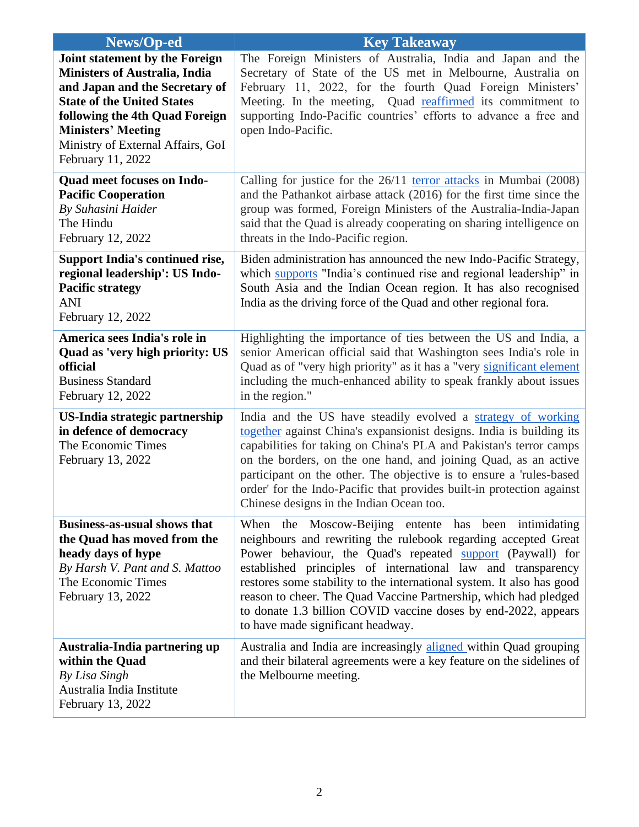| News/Op-ed                                                                                                                                                                                                                                                      | <b>Key Takeaway</b>                                                                                                                                                                                                                                                                                                                                                                                                                                                                                       |
|-----------------------------------------------------------------------------------------------------------------------------------------------------------------------------------------------------------------------------------------------------------------|-----------------------------------------------------------------------------------------------------------------------------------------------------------------------------------------------------------------------------------------------------------------------------------------------------------------------------------------------------------------------------------------------------------------------------------------------------------------------------------------------------------|
| Joint statement by the Foreign<br>Ministers of Australia, India<br>and Japan and the Secretary of<br><b>State of the United States</b><br>following the 4th Quad Foreign<br><b>Ministers' Meeting</b><br>Ministry of External Affairs, GoI<br>February 11, 2022 | The Foreign Ministers of Australia, India and Japan and the<br>Secretary of State of the US met in Melbourne, Australia on<br>February 11, 2022, for the fourth Quad Foreign Ministers'<br>Meeting. In the meeting, Quad reaffirmed its commitment to<br>supporting Indo-Pacific countries' efforts to advance a free and<br>open Indo-Pacific.                                                                                                                                                           |
| <b>Quad meet focuses on Indo-</b><br><b>Pacific Cooperation</b><br>By Suhasini Haider<br>The Hindu<br>February 12, 2022                                                                                                                                         | Calling for justice for the 26/11 terror attacks in Mumbai (2008)<br>and the Pathankot airbase attack (2016) for the first time since the<br>group was formed, Foreign Ministers of the Australia-India-Japan<br>said that the Quad is already cooperating on sharing intelligence on<br>threats in the Indo-Pacific region.                                                                                                                                                                              |
| <b>Support India's continued rise,</b><br>regional leadership': US Indo-<br><b>Pacific strategy</b><br><b>ANI</b><br>February 12, 2022                                                                                                                          | Biden administration has announced the new Indo-Pacific Strategy,<br>which supports "India's continued rise and regional leadership" in<br>South Asia and the Indian Ocean region. It has also recognised<br>India as the driving force of the Quad and other regional fora.                                                                                                                                                                                                                              |
| America sees India's role in<br>Quad as 'very high priority: US<br>official<br><b>Business Standard</b><br>February 12, 2022                                                                                                                                    | Highlighting the importance of ties between the US and India, a<br>senior American official said that Washington sees India's role in<br>Quad as of "very high priority" as it has a "very significant element<br>including the much-enhanced ability to speak frankly about issues<br>in the region."                                                                                                                                                                                                    |
| US-India strategic partnership<br>in defence of democracy<br>The Economic Times<br>February 13, 2022                                                                                                                                                            | India and the US have steadily evolved a strategy of working<br>together against China's expansionist designs. India is building its<br>capabilities for taking on China's PLA and Pakistan's terror camps<br>on the borders, on the one hand, and joining Quad, as an active<br>participant on the other. The objective is to ensure a 'rules-based<br>order' for the Indo-Pacific that provides built-in protection against<br>Chinese designs in the Indian Ocean too.                                 |
| <b>Business-as-usual shows that</b><br>the Quad has moved from the<br>heady days of hype<br>By Harsh V. Pant and S. Mattoo<br>The Economic Times<br>February 13, 2022                                                                                           | When the Moscow-Beijing entente has been intimidating<br>neighbours and rewriting the rulebook regarding accepted Great<br>Power behaviour, the Quad's repeated support (Paywall) for<br>established principles of international law and transparency<br>restores some stability to the international system. It also has good<br>reason to cheer. The Quad Vaccine Partnership, which had pledged<br>to donate 1.3 billion COVID vaccine doses by end-2022, appears<br>to have made significant headway. |
| Australia-India partnering up<br>within the Quad<br>By Lisa Singh<br>Australia India Institute<br>February 13, 2022                                                                                                                                             | Australia and India are increasingly aligned within Quad grouping<br>and their bilateral agreements were a key feature on the sidelines of<br>the Melbourne meeting.                                                                                                                                                                                                                                                                                                                                      |